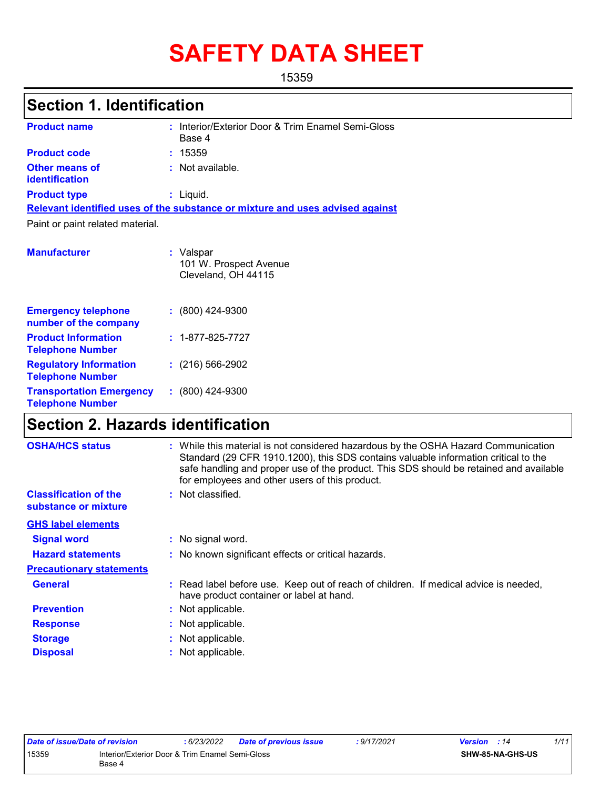# **SAFETY DATA SHEET**

15359

### **Section 1. Identification**

| <b>Product name</b>                                   | : Interior/Exterior Door & Trim Enamel Semi-Gloss<br>Base 4                   |
|-------------------------------------------------------|-------------------------------------------------------------------------------|
| <b>Product code</b>                                   | : 15359                                                                       |
| Other means of<br><b>identification</b>               | : Not available.                                                              |
| <b>Product type</b>                                   | : Liquid.                                                                     |
|                                                       | Relevant identified uses of the substance or mixture and uses advised against |
| Paint or paint related material.                      |                                                                               |
|                                                       |                                                                               |
| <b>Manufacturer</b>                                   | : Valspar<br>101 W. Prospect Avenue<br>Cleveland, OH 44115                    |
| <b>Emergency telephone</b><br>number of the company   | $: (800)$ 424-9300                                                            |
| <b>Product Information</b><br><b>Telephone Number</b> | $: 1 - 877 - 825 - 7727$                                                      |

**Regulatory Information Telephone Number :** (216) 566-2902 **Transportation Emergency Telephone Number :** (800) 424-9300

# **Section 2. Hazards identification**

| <b>OSHA/HCS status</b>                               | : While this material is not considered hazardous by the OSHA Hazard Communication<br>Standard (29 CFR 1910.1200), this SDS contains valuable information critical to the<br>safe handling and proper use of the product. This SDS should be retained and available<br>for employees and other users of this product. |  |  |  |  |
|------------------------------------------------------|-----------------------------------------------------------------------------------------------------------------------------------------------------------------------------------------------------------------------------------------------------------------------------------------------------------------------|--|--|--|--|
| <b>Classification of the</b><br>substance or mixture | : Not classified.                                                                                                                                                                                                                                                                                                     |  |  |  |  |
| <b>GHS label elements</b>                            |                                                                                                                                                                                                                                                                                                                       |  |  |  |  |
| <b>Signal word</b>                                   | : No signal word.                                                                                                                                                                                                                                                                                                     |  |  |  |  |
| <b>Hazard statements</b>                             | : No known significant effects or critical hazards.                                                                                                                                                                                                                                                                   |  |  |  |  |
| <b>Precautionary statements</b>                      |                                                                                                                                                                                                                                                                                                                       |  |  |  |  |
| <b>General</b>                                       | : Read label before use. Keep out of reach of children. If medical advice is needed,<br>have product container or label at hand.                                                                                                                                                                                      |  |  |  |  |
| <b>Prevention</b>                                    | : Not applicable.                                                                                                                                                                                                                                                                                                     |  |  |  |  |
| <b>Response</b>                                      | : Not applicable.                                                                                                                                                                                                                                                                                                     |  |  |  |  |
| <b>Storage</b>                                       | : Not applicable.                                                                                                                                                                                                                                                                                                     |  |  |  |  |
| <b>Disposal</b>                                      | : Not applicable.                                                                                                                                                                                                                                                                                                     |  |  |  |  |
|                                                      |                                                                                                                                                                                                                                                                                                                       |  |  |  |  |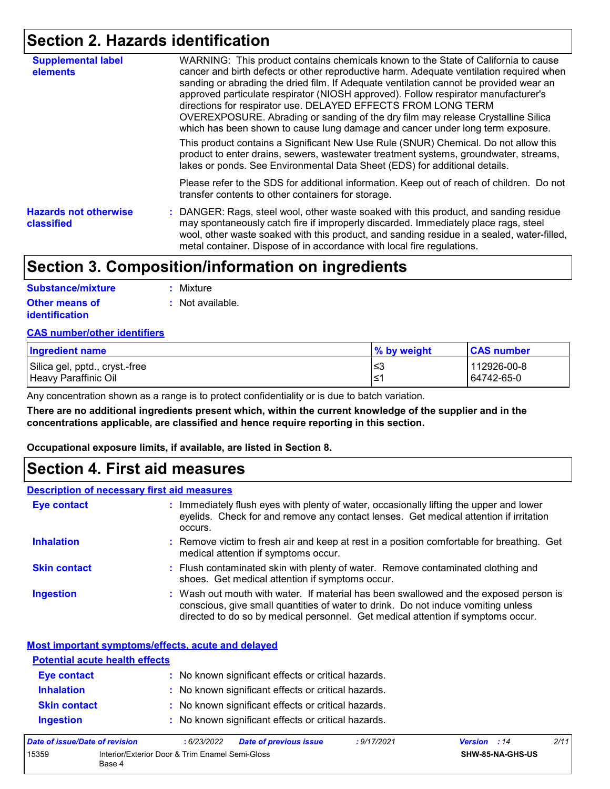### **Section 2. Hazards identification**

| <b>Supplemental label</b><br>elements             | WARNING: This product contains chemicals known to the State of California to cause<br>cancer and birth defects or other reproductive harm. Adequate ventilation required when<br>sanding or abrading the dried film. If Adequate ventilation cannot be provided wear an<br>approved particulate respirator (NIOSH approved). Follow respirator manufacturer's<br>directions for respirator use. DELAYED EFFECTS FROM LONG TERM<br>OVEREXPOSURE. Abrading or sanding of the dry film may release Crystalline Silica<br>which has been shown to cause lung damage and cancer under long term exposure. |
|---------------------------------------------------|------------------------------------------------------------------------------------------------------------------------------------------------------------------------------------------------------------------------------------------------------------------------------------------------------------------------------------------------------------------------------------------------------------------------------------------------------------------------------------------------------------------------------------------------------------------------------------------------------|
|                                                   | This product contains a Significant New Use Rule (SNUR) Chemical. Do not allow this<br>product to enter drains, sewers, wastewater treatment systems, groundwater, streams,<br>lakes or ponds. See Environmental Data Sheet (EDS) for additional details.                                                                                                                                                                                                                                                                                                                                            |
|                                                   | Please refer to the SDS for additional information. Keep out of reach of children. Do not<br>transfer contents to other containers for storage.                                                                                                                                                                                                                                                                                                                                                                                                                                                      |
| <b>Hazards not otherwise</b><br><b>classified</b> | : DANGER: Rags, steel wool, other waste soaked with this product, and sanding residue<br>may spontaneously catch fire if improperly discarded. Immediately place rags, steel<br>wool, other waste soaked with this product, and sanding residue in a sealed, water-filled,<br>metal container. Dispose of in accordance with local fire regulations.                                                                                                                                                                                                                                                 |

### **Section 3. Composition/information on ingredients**

| Substance/mixture                              | : Mixture        |
|------------------------------------------------|------------------|
| <b>Other means of</b><br><b>identification</b> | : Not available. |

#### **CAS number/other identifiers**

| <b>Ingredient name</b>         | % by weight | <b>CAS number</b> |
|--------------------------------|-------------|-------------------|
| Silica gel, pptd., cryst.-free | ା≤3         | 112926-00-8       |
| Heavy Paraffinic Oil           | ^≥،         | 64742-65-0        |

Any concentration shown as a range is to protect confidentiality or is due to batch variation.

**There are no additional ingredients present which, within the current knowledge of the supplier and in the concentrations applicable, are classified and hence require reporting in this section.**

**Occupational exposure limits, if available, are listed in Section 8.**

### **Section 4. First aid measures**

#### **Description of necessary first aid measures**

| <b>Eye contact</b>  | : Immediately flush eyes with plenty of water, occasionally lifting the upper and lower<br>eyelids. Check for and remove any contact lenses. Get medical attention if irritation<br>occurs.                                                                    |
|---------------------|----------------------------------------------------------------------------------------------------------------------------------------------------------------------------------------------------------------------------------------------------------------|
| <b>Inhalation</b>   | : Remove victim to fresh air and keep at rest in a position comfortable for breathing. Get<br>medical attention if symptoms occur.                                                                                                                             |
| <b>Skin contact</b> | : Flush contaminated skin with plenty of water. Remove contaminated clothing and<br>shoes. Get medical attention if symptoms occur.                                                                                                                            |
| <b>Ingestion</b>    | : Wash out mouth with water. If material has been swallowed and the exposed person is<br>conscious, give small quantities of water to drink. Do not induce vomiting unless<br>directed to do so by medical personnel. Get medical attention if symptoms occur. |

#### **Most important symptoms/effects, acute and delayed**

| <b>Potential acute health effects</b> |                                                     |
|---------------------------------------|-----------------------------------------------------|
| <b>Eye contact</b>                    | : No known significant effects or critical hazards. |
| <b>Inhalation</b>                     | : No known significant effects or critical hazards. |
| <b>Skin contact</b>                   | : No known significant effects or critical hazards. |
| <b>Ingestion</b>                      | : No known significant effects or critical hazards. |
|                                       |                                                     |

| Date of issue/Date of revision |                                                           | : 6/23/2022 | <b>Date of previous issue</b> | : 9/17/2021 | <b>Version</b> : 14 |                  | 2/11 |
|--------------------------------|-----------------------------------------------------------|-------------|-------------------------------|-------------|---------------------|------------------|------|
| 15359                          | Interior/Exterior Door & Trim Enamel Semi-Gloss<br>Base 4 |             |                               |             |                     | SHW-85-NA-GHS-US |      |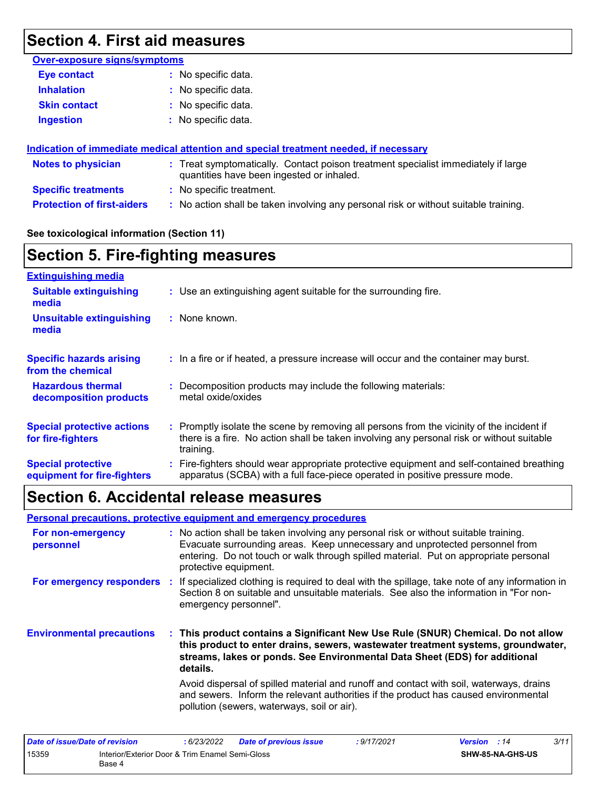# **Section 4. First aid measures**

| <b>Over-exposure signs/symptoms</b> |                                                                                                                                |
|-------------------------------------|--------------------------------------------------------------------------------------------------------------------------------|
| <b>Eye contact</b>                  | : No specific data.                                                                                                            |
| <b>Inhalation</b>                   | : No specific data.                                                                                                            |
| <b>Skin contact</b>                 | : No specific data.                                                                                                            |
| <b>Ingestion</b>                    | : No specific data.                                                                                                            |
|                                     | Indication of immediate medical attention and special treatment needed, if necessary                                           |
|                                     |                                                                                                                                |
| <b>Notes to physician</b>           | : Treat symptomatically. Contact poison treatment specialist immediately if large<br>quantities have been ingested or inhaled. |
| <b>Specific treatments</b>          | : No specific treatment.                                                                                                       |
| <b>Protection of first-aiders</b>   | : No action shall be taken involving any personal risk or without suitable training.                                           |

#### **See toxicological information (Section 11)**

| <b>Section 5. Fire-fighting measures</b>                 |                                                                                                                                                                                                     |  |  |
|----------------------------------------------------------|-----------------------------------------------------------------------------------------------------------------------------------------------------------------------------------------------------|--|--|
| <b>Extinguishing media</b>                               |                                                                                                                                                                                                     |  |  |
| <b>Suitable extinguishing</b><br>media                   | : Use an extinguishing agent suitable for the surrounding fire.                                                                                                                                     |  |  |
| <b>Unsuitable extinguishing</b><br>media                 | : None known.                                                                                                                                                                                       |  |  |
| <b>Specific hazards arising</b><br>from the chemical     | : In a fire or if heated, a pressure increase will occur and the container may burst.                                                                                                               |  |  |
| <b>Hazardous thermal</b><br>decomposition products       | : Decomposition products may include the following materials:<br>metal oxide/oxides                                                                                                                 |  |  |
| <b>Special protective actions</b><br>for fire-fighters   | : Promptly isolate the scene by removing all persons from the vicinity of the incident if<br>there is a fire. No action shall be taken involving any personal risk or without suitable<br>training. |  |  |
| <b>Special protective</b><br>equipment for fire-fighters | : Fire-fighters should wear appropriate protective equipment and self-contained breathing<br>apparatus (SCBA) with a full face-piece operated in positive pressure mode.                            |  |  |

# **Section 6. Accidental release measures**

#### **Personal precautions, protective equipment and emergency procedures**

| For non-emergency<br>personnel   | : No action shall be taken involving any personal risk or without suitable training.<br>Evacuate surrounding areas. Keep unnecessary and unprotected personnel from<br>entering. Do not touch or walk through spilled material. Put on appropriate personal<br>protective equipment. |
|----------------------------------|--------------------------------------------------------------------------------------------------------------------------------------------------------------------------------------------------------------------------------------------------------------------------------------|
|                                  | For emergency responders : If specialized clothing is required to deal with the spillage, take note of any information in<br>Section 8 on suitable and unsuitable materials. See also the information in "For non-<br>emergency personnel".                                          |
| <b>Environmental precautions</b> | : This product contains a Significant New Use Rule (SNUR) Chemical. Do not allow<br>this product to enter drains, sewers, wastewater treatment systems, groundwater,<br>streams, lakes or ponds. See Environmental Data Sheet (EDS) for additional<br>details.                       |
|                                  | Avoid dispersal of spilled material and runoff and contact with soil, waterways, drains<br>and sewers. Inform the relevant authorities if the product has caused environmental<br>pollution (sewers, waterways, soil or air).                                                        |

| Date of issue/Date of revision |                                                           | : 6/23/2022 | <b>Date of previous issue</b> | : 9/17/2021 | <b>Version</b> : 14 |                  | 3/11 |
|--------------------------------|-----------------------------------------------------------|-------------|-------------------------------|-------------|---------------------|------------------|------|
| 15359                          | Interior/Exterior Door & Trim Enamel Semi-Gloss<br>Base 4 |             |                               |             |                     | SHW-85-NA-GHS-US |      |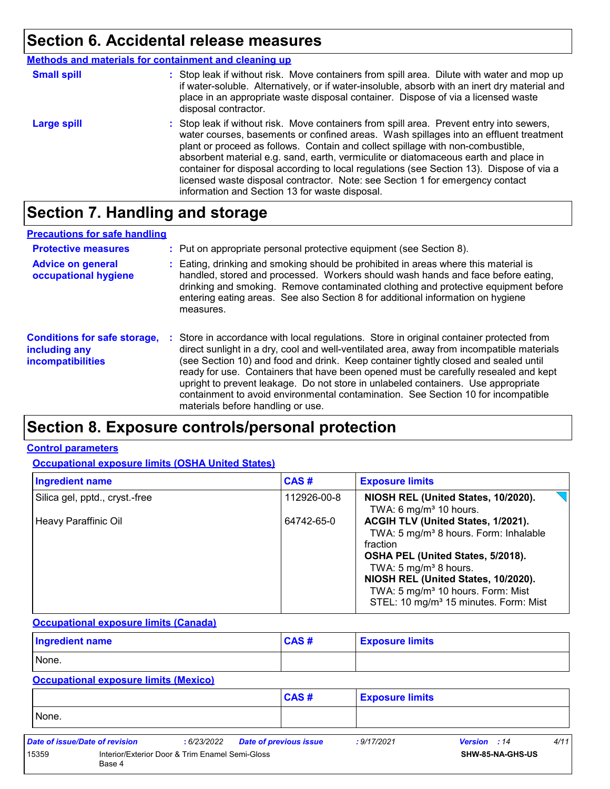### **Section 6. Accidental release measures**

|                    | Methods and materials for containment and cleaning up                                                                                                                                                                                                                                                                                                                                                                                                                                                                                                                                      |
|--------------------|--------------------------------------------------------------------------------------------------------------------------------------------------------------------------------------------------------------------------------------------------------------------------------------------------------------------------------------------------------------------------------------------------------------------------------------------------------------------------------------------------------------------------------------------------------------------------------------------|
| <b>Small spill</b> | : Stop leak if without risk. Move containers from spill area. Dilute with water and mop up<br>if water-soluble. Alternatively, or if water-insoluble, absorb with an inert dry material and<br>place in an appropriate waste disposal container. Dispose of via a licensed waste<br>disposal contractor.                                                                                                                                                                                                                                                                                   |
| <b>Large spill</b> | : Stop leak if without risk. Move containers from spill area. Prevent entry into sewers,<br>water courses, basements or confined areas. Wash spillages into an effluent treatment<br>plant or proceed as follows. Contain and collect spillage with non-combustible,<br>absorbent material e.g. sand, earth, vermiculite or diatomaceous earth and place in<br>container for disposal according to local regulations (see Section 13). Dispose of via a<br>licensed waste disposal contractor. Note: see Section 1 for emergency contact<br>information and Section 13 for waste disposal. |

# **Section 7. Handling and storage**

#### **Precautions for safe handling**

| <b>Protective measures</b>                                                       |    | : Put on appropriate personal protective equipment (see Section 8).                                                                                                                                                                                                                                                                                                                                                                                                                                                                                                              |
|----------------------------------------------------------------------------------|----|----------------------------------------------------------------------------------------------------------------------------------------------------------------------------------------------------------------------------------------------------------------------------------------------------------------------------------------------------------------------------------------------------------------------------------------------------------------------------------------------------------------------------------------------------------------------------------|
| <b>Advice on general</b><br>occupational hygiene                                 |    | : Eating, drinking and smoking should be prohibited in areas where this material is<br>handled, stored and processed. Workers should wash hands and face before eating,<br>drinking and smoking. Remove contaminated clothing and protective equipment before<br>entering eating areas. See also Section 8 for additional information on hygiene<br>measures.                                                                                                                                                                                                                    |
| <b>Conditions for safe storage,</b><br>including any<br><b>incompatibilities</b> | ÷. | Store in accordance with local regulations. Store in original container protected from<br>direct sunlight in a dry, cool and well-ventilated area, away from incompatible materials<br>(see Section 10) and food and drink. Keep container tightly closed and sealed until<br>ready for use. Containers that have been opened must be carefully resealed and kept<br>upright to prevent leakage. Do not store in unlabeled containers. Use appropriate<br>containment to avoid environmental contamination. See Section 10 for incompatible<br>materials before handling or use. |

# **Section 8. Exposure controls/personal protection**

#### **Control parameters**

#### **Occupational exposure limits (OSHA United States)**

| <b>Ingredient name</b>         | CAS#        | <b>Exposure limits</b>                                                                                                                                                                                                                                                                                                     |
|--------------------------------|-------------|----------------------------------------------------------------------------------------------------------------------------------------------------------------------------------------------------------------------------------------------------------------------------------------------------------------------------|
| Silica gel, pptd., cryst.-free | 112926-00-8 | NIOSH REL (United States, 10/2020).<br>TWA: 6 mg/m <sup>3</sup> 10 hours.                                                                                                                                                                                                                                                  |
| Heavy Paraffinic Oil           | 64742-65-0  | ACGIH TLV (United States, 1/2021).<br>TWA: 5 mg/m <sup>3</sup> 8 hours. Form: Inhalable<br>fraction<br>OSHA PEL (United States, 5/2018).<br>TWA: 5 mg/m <sup>3</sup> 8 hours.<br>NIOSH REL (United States, 10/2020).<br>TWA: 5 mg/m <sup>3</sup> 10 hours. Form: Mist<br>STEL: 10 mg/m <sup>3</sup> 15 minutes. Form: Mist |

#### **Occupational exposure limits (Canada)**

| Ingredient name | CAS# | <b>Exposure limits</b> |
|-----------------|------|------------------------|
| None.           |      |                        |

#### **Occupational exposure limits (Mexico)**

Base 4

|       |                                |                                                 | CAS#                          | <b>Exposure limits</b> |                     |      |
|-------|--------------------------------|-------------------------------------------------|-------------------------------|------------------------|---------------------|------|
| None. |                                |                                                 |                               |                        |                     |      |
|       | Date of issue/Date of revision | : 6/23/2022                                     | <b>Date of previous issue</b> | : 9/17/2021            | <b>Version</b> : 14 | 4/11 |
| 15359 |                                | Interior/Exterior Door & Trim Enamel Semi-Gloss |                               |                        | SHW-85-NA-GHS-US    |      |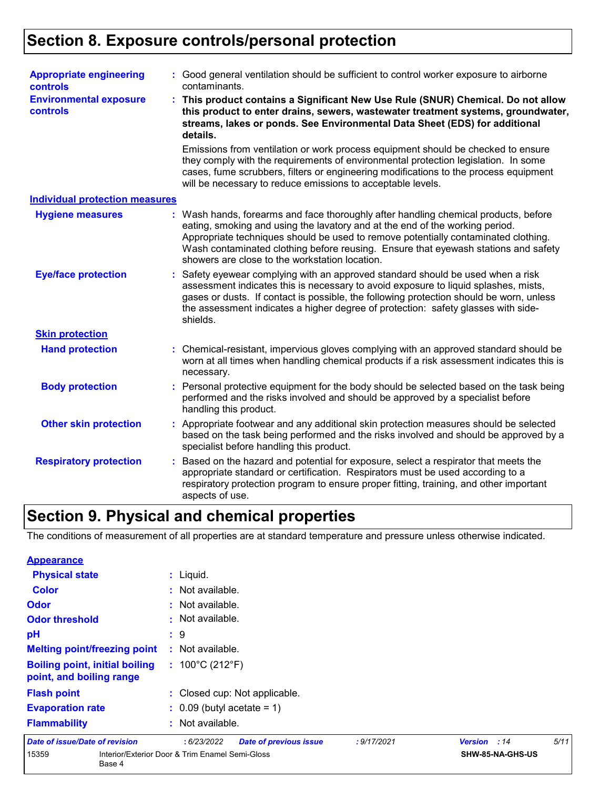# **Section 8. Exposure controls/personal protection**

| <b>Appropriate engineering</b><br><b>controls</b> |                                                                                                                                                                                                                                                                                                                                                                  | : Good general ventilation should be sufficient to control worker exposure to airborne<br>contaminants.                                                                                                                                                                                                                                                                                           |  |  |
|---------------------------------------------------|------------------------------------------------------------------------------------------------------------------------------------------------------------------------------------------------------------------------------------------------------------------------------------------------------------------------------------------------------------------|---------------------------------------------------------------------------------------------------------------------------------------------------------------------------------------------------------------------------------------------------------------------------------------------------------------------------------------------------------------------------------------------------|--|--|
| <b>Environmental exposure</b><br><b>controls</b>  | ÷.                                                                                                                                                                                                                                                                                                                                                               | This product contains a Significant New Use Rule (SNUR) Chemical. Do not allow<br>this product to enter drains, sewers, wastewater treatment systems, groundwater,<br>streams, lakes or ponds. See Environmental Data Sheet (EDS) for additional<br>details.                                                                                                                                      |  |  |
|                                                   |                                                                                                                                                                                                                                                                                                                                                                  | Emissions from ventilation or work process equipment should be checked to ensure<br>they comply with the requirements of environmental protection legislation. In some<br>cases, fume scrubbers, filters or engineering modifications to the process equipment<br>will be necessary to reduce emissions to acceptable levels.                                                                     |  |  |
| <b>Individual protection measures</b>             |                                                                                                                                                                                                                                                                                                                                                                  |                                                                                                                                                                                                                                                                                                                                                                                                   |  |  |
| <b>Hygiene measures</b>                           |                                                                                                                                                                                                                                                                                                                                                                  | : Wash hands, forearms and face thoroughly after handling chemical products, before<br>eating, smoking and using the lavatory and at the end of the working period.<br>Appropriate techniques should be used to remove potentially contaminated clothing.<br>Wash contaminated clothing before reusing. Ensure that eyewash stations and safety<br>showers are close to the workstation location. |  |  |
| <b>Eye/face protection</b>                        | Safety eyewear complying with an approved standard should be used when a risk<br>assessment indicates this is necessary to avoid exposure to liquid splashes, mists,<br>gases or dusts. If contact is possible, the following protection should be worn, unless<br>the assessment indicates a higher degree of protection: safety glasses with side-<br>shields. |                                                                                                                                                                                                                                                                                                                                                                                                   |  |  |
| <b>Skin protection</b>                            |                                                                                                                                                                                                                                                                                                                                                                  |                                                                                                                                                                                                                                                                                                                                                                                                   |  |  |
| <b>Hand protection</b>                            |                                                                                                                                                                                                                                                                                                                                                                  | : Chemical-resistant, impervious gloves complying with an approved standard should be<br>worn at all times when handling chemical products if a risk assessment indicates this is<br>necessary.                                                                                                                                                                                                   |  |  |
| <b>Body protection</b>                            |                                                                                                                                                                                                                                                                                                                                                                  | Personal protective equipment for the body should be selected based on the task being<br>performed and the risks involved and should be approved by a specialist before<br>handling this product.                                                                                                                                                                                                 |  |  |
| <b>Other skin protection</b>                      |                                                                                                                                                                                                                                                                                                                                                                  | Appropriate footwear and any additional skin protection measures should be selected<br>based on the task being performed and the risks involved and should be approved by a<br>specialist before handling this product.                                                                                                                                                                           |  |  |
| <b>Respiratory protection</b>                     | Based on the hazard and potential for exposure, select a respirator that meets the<br>÷.<br>appropriate standard or certification. Respirators must be used according to a<br>respiratory protection program to ensure proper fitting, training, and other important<br>aspects of use.                                                                          |                                                                                                                                                                                                                                                                                                                                                                                                   |  |  |

# **Section 9. Physical and chemical properties**

The conditions of measurement of all properties are at standard temperature and pressure unless otherwise indicated.

| <b>Appearance</b>                                                 |                                                            |                             |  |  |  |  |  |
|-------------------------------------------------------------------|------------------------------------------------------------|-----------------------------|--|--|--|--|--|
| <b>Physical state</b>                                             | : Liquid.                                                  |                             |  |  |  |  |  |
| <b>Color</b>                                                      | : Not available.                                           |                             |  |  |  |  |  |
| Odor                                                              | : Not available.                                           |                             |  |  |  |  |  |
| <b>Odor threshold</b>                                             | : Not available.                                           |                             |  |  |  |  |  |
| pH                                                                | $\mathbf{.}9$                                              |                             |  |  |  |  |  |
| <b>Melting point/freezing point</b>                               | : Not available.                                           |                             |  |  |  |  |  |
| <b>Boiling point, initial boiling</b><br>point, and boiling range | : $100^{\circ}$ C (212 $^{\circ}$ F)                       |                             |  |  |  |  |  |
| <b>Flash point</b>                                                | : Closed cup: Not applicable.                              |                             |  |  |  |  |  |
| <b>Evaporation rate</b>                                           | $\therefore$ 0.09 (butyl acetate = 1)                      |                             |  |  |  |  |  |
| <b>Flammability</b>                                               | : Not available.                                           |                             |  |  |  |  |  |
| Date of issue/Date of revision                                    | :6/23/2022<br><b>Date of previous issue</b><br>: 9/17/2021 | 5/11<br><b>Version</b> : 14 |  |  |  |  |  |
| 15359<br>Base 4                                                   | Interior/Exterior Door & Trim Enamel Semi-Gloss            | SHW-85-NA-GHS-US            |  |  |  |  |  |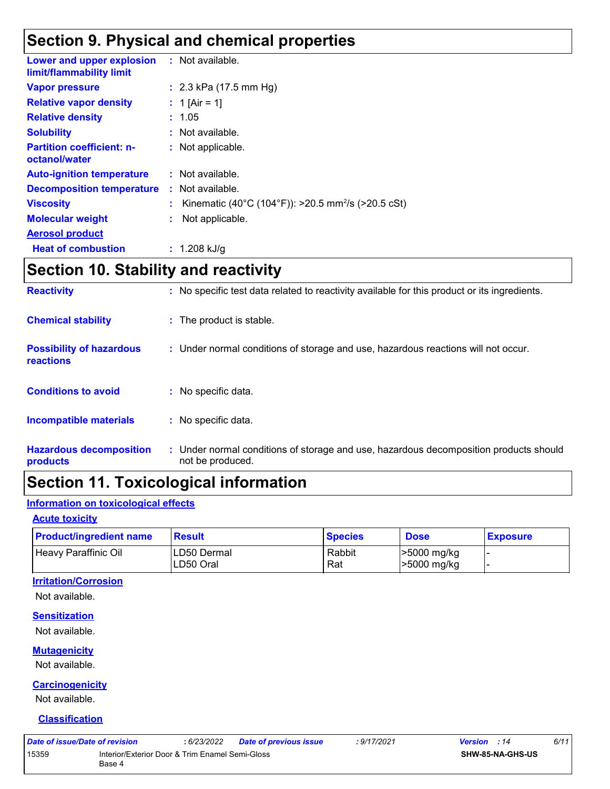### **Section 9. Physical and chemical properties**

| Lower and upper explosion<br>limit/flammability limit | : Not available.                                               |
|-------------------------------------------------------|----------------------------------------------------------------|
| <b>Vapor pressure</b>                                 | : $2.3$ kPa (17.5 mm Hg)                                       |
| <b>Relative vapor density</b>                         | : 1 [Air = 1]                                                  |
| <b>Relative density</b>                               | : 1.05                                                         |
| <b>Solubility</b>                                     | : Not available.                                               |
| <b>Partition coefficient: n-</b><br>octanol/water     | : Not applicable.                                              |
| <b>Auto-ignition temperature</b>                      | $:$ Not available.                                             |
| <b>Decomposition temperature</b>                      | $:$ Not available.                                             |
| <b>Viscosity</b>                                      | Kinematic (40°C (104°F)): >20.5 mm <sup>2</sup> /s (>20.5 cSt) |
| <b>Molecular weight</b>                               | Not applicable.                                                |
| <b>Aerosol product</b>                                |                                                                |
| <b>Heat of combustion</b>                             | : $1.208$ kJ/g                                                 |

# **Section 10. Stability and reactivity**

| <b>Reactivity</b>                                   | : No specific test data related to reactivity available for this product or its ingredients.              |
|-----------------------------------------------------|-----------------------------------------------------------------------------------------------------------|
| <b>Chemical stability</b>                           | : The product is stable.                                                                                  |
| <b>Possibility of hazardous</b><br><b>reactions</b> | : Under normal conditions of storage and use, hazardous reactions will not occur.                         |
| <b>Conditions to avoid</b>                          | : No specific data.                                                                                       |
| <b>Incompatible materials</b>                       | : No specific data.                                                                                       |
| <b>Hazardous decomposition</b><br>products          | : Under normal conditions of storage and use, hazardous decomposition products should<br>not be produced. |

# **Section 11. Toxicological information**

#### **Information on toxicological effects**

#### **Acute toxicity**

| <b>Product/ingredient name</b> | <b>Result</b> | <b>Species</b> | <b>Dose</b> | <b>Exposure</b> |
|--------------------------------|---------------|----------------|-------------|-----------------|
| Heavy Paraffinic Oil           | ILD50 Dermal  | Rabbit         | >5000 mg/kg |                 |
|                                | LD50 Oral     | Rat            | >5000 mg/kg |                 |

#### **Irritation/Corrosion**

Not available.

#### **Sensitization**

Not available.

#### **Mutagenicity**

Not available.

#### **Carcinogenicity**

Not available.

#### **Classification**

|       | Date of issue/Date of revision | : 6/23/2022                                     | <b>Date of previous issue</b> | : 9/17/2021 | <b>Version</b> : 14     | 6/11 |
|-------|--------------------------------|-------------------------------------------------|-------------------------------|-------------|-------------------------|------|
| 15359 |                                | Interior/Exterior Door & Trim Enamel Semi-Gloss |                               |             | <b>SHW-85-NA-GHS-US</b> |      |
|       | Base 4                         |                                                 |                               |             |                         |      |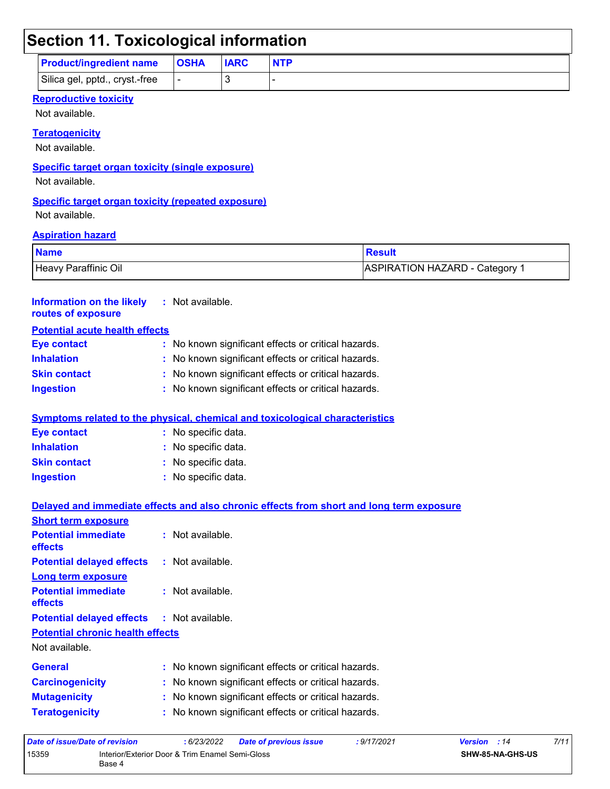# **Section 11. Toxicological information**

| <b>Product/ingredient name OSHA</b> |                | <b>IARC</b> | <b>NTP</b> |
|-------------------------------------|----------------|-------------|------------|
| Silica gel, pptd., cryst.-free      | $\blacksquare$ |             |            |

#### **Reproductive toxicity**

Not available.

#### **Teratogenicity**

Not available.

#### **Specific target organ toxicity (single exposure)**

Not available.

#### **Specific target organ toxicity (repeated exposure)**

Not available.

#### **Aspiration hazard**

| <b>Name</b>          | <b>Result</b>                         |
|----------------------|---------------------------------------|
| Heavy Paraffinic Oil | <b>ASPIRATION HAZARD - Category 1</b> |

| Information on the likely<br>routes of exposure | : Not available.                                    |
|-------------------------------------------------|-----------------------------------------------------|
| <b>Potential acute health effects</b>           |                                                     |
| <b>Eye contact</b>                              | : No known significant effects or critical hazards. |
| <b>Inhalation</b>                               | : No known significant effects or critical hazards. |
| <b>Skin contact</b>                             | : No known significant effects or critical hazards. |
| <b>Ingestion</b>                                | : No known significant effects or critical hazards. |

|             | Symptoms related to the physical, chemical and toxicological characteristics |  |
|-------------|------------------------------------------------------------------------------|--|
| Eye contact | : No specific data.                                                          |  |

| Inhalation       | : No specific data. |
|------------------|---------------------|
| Skin contact     | : No specific data. |
| <b>Ingestion</b> | : No specific data. |

|                                                   | Delayed and immediate effects and also chronic effects from short and long term exposure |
|---------------------------------------------------|------------------------------------------------------------------------------------------|
| <b>Short term exposure</b>                        |                                                                                          |
| <b>Potential immediate</b><br><b>effects</b>      | $:$ Not available.                                                                       |
| <b>Potential delayed effects : Not available.</b> |                                                                                          |
| <b>Long term exposure</b>                         |                                                                                          |
| <b>Potential immediate</b><br><b>effects</b>      | $:$ Not available.                                                                       |
| <b>Potential delayed effects : Not available.</b> |                                                                                          |
| <b>Potential chronic health effects</b>           |                                                                                          |
| Not available.                                    |                                                                                          |
| <b>General</b>                                    | : No known significant effects or critical hazards.                                      |
| <b>Carcinogenicity</b>                            | : No known significant effects or critical hazards.                                      |
| <b>Mutagenicity</b>                               | : No known significant effects or critical hazards.                                      |
| <b>Teratogenicity</b>                             | : No known significant effects or critical hazards.                                      |

| Date of issue/Date of revision |                                                           | : 6/23/2022 | <b>Date of previous issue</b> | : 9/17/2021 | <b>Version</b> : 14 |                         | 7/11 |
|--------------------------------|-----------------------------------------------------------|-------------|-------------------------------|-------------|---------------------|-------------------------|------|
| 15359                          | Interior/Exterior Door & Trim Enamel Semi-Gloss<br>Base 4 |             |                               |             |                     | <b>SHW-85-NA-GHS-US</b> |      |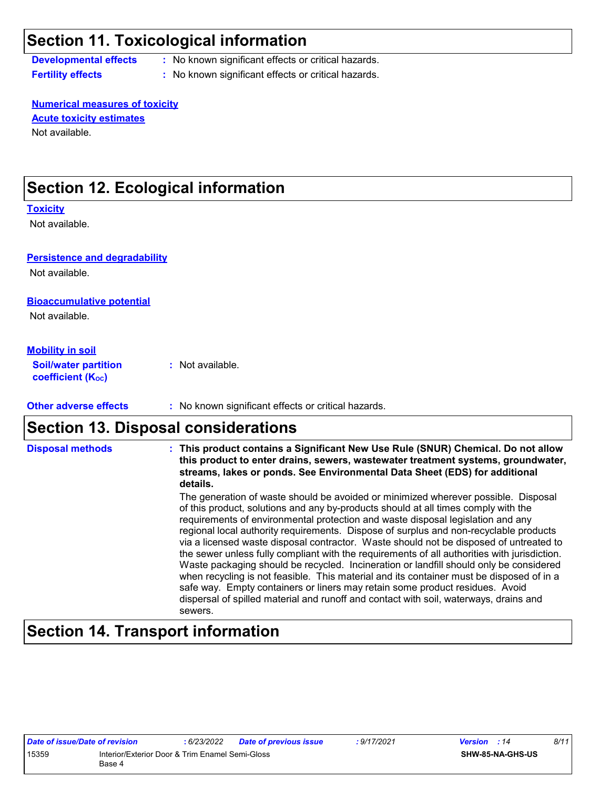### **Section 11. Toxicological information**

**Developmental effects :** No known significant effects or critical hazards.

**Fertility effects :** No known significant effects or critical hazards.

**Numerical measures of toxicity** Not available. **Acute toxicity estimates**

### **Section 12. Ecological information**

#### **Toxicity**

Not available.

#### **Persistence and degradability**

Not available.

#### **Bioaccumulative potential**

Not available.

#### **Mobility in soil**

**Soil/water partition coefficient (KOC) :** Not available.

**Other adverse effects** : No known significant effects or critical hazards.

### **Section 13. Disposal considerations**

The generation of waste should be avoided or minimized wherever possible. Disposal of this product, solutions and any by-products should at all times comply with the requirements of environmental protection and waste disposal legislation and any regional local authority requirements. Dispose of surplus and non-recyclable products via a licensed waste disposal contractor. Waste should not be disposed of untreated to the sewer unless fully compliant with the requirements of all authorities with jurisdiction. Waste packaging should be recycled. Incineration or landfill should only be considered when recycling is not feasible. This material and its container must be disposed of in a safe way. Empty containers or liners may retain some product residues. Avoid dispersal of spilled material and runoff and contact with soil, waterways, drains and sewers. **Disposal methods : This product contains a Significant New Use Rule (SNUR) Chemical. Do not allow this product to enter drains, sewers, wastewater treatment systems, groundwater, streams, lakes or ponds. See Environmental Data Sheet (EDS) for additional details.**

### **Section 14. Transport information**

|       | Date of issue/Date of revision                  | : 6/23/2022 | <b>Date of previous issue</b> | : 9/17/2021 | <b>Version</b> : 14     | 8/11 |
|-------|-------------------------------------------------|-------------|-------------------------------|-------------|-------------------------|------|
| 15359 | Interior/Exterior Door & Trim Enamel Semi-Gloss |             |                               |             | <b>SHW-85-NA-GHS-US</b> |      |
|       | Base 4                                          |             |                               |             |                         |      |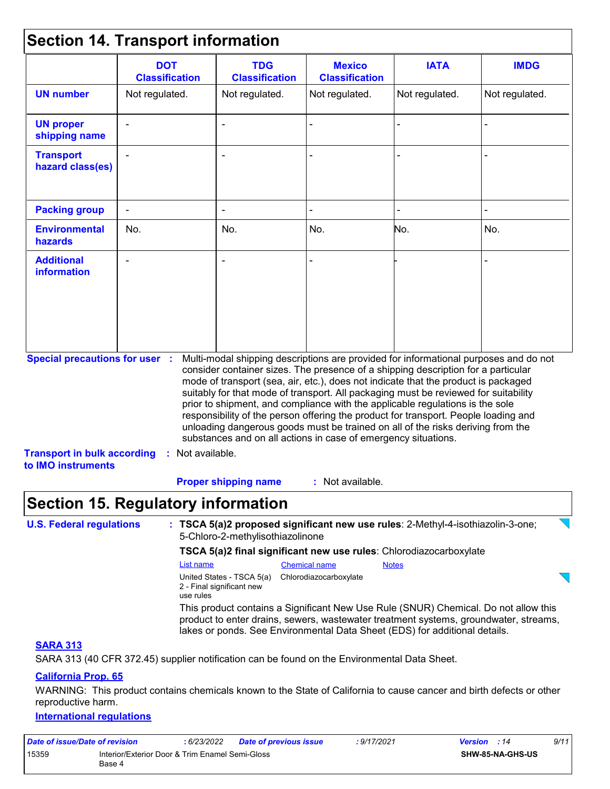### **Section 14. Transport information**

|                                                          | <b>DOT</b><br><b>Classification</b>       | <b>TDG</b><br><b>Classification</b>                    | <b>Mexico</b><br><b>Classification</b>                                                                                                                                                                                                                                                                                                                                                                                                                                                                                                                                                                                                                                              | <b>IATA</b>    | <b>IMDG</b>    |
|----------------------------------------------------------|-------------------------------------------|--------------------------------------------------------|-------------------------------------------------------------------------------------------------------------------------------------------------------------------------------------------------------------------------------------------------------------------------------------------------------------------------------------------------------------------------------------------------------------------------------------------------------------------------------------------------------------------------------------------------------------------------------------------------------------------------------------------------------------------------------------|----------------|----------------|
| <b>UN number</b>                                         | Not regulated.                            | Not regulated.                                         | Not regulated.                                                                                                                                                                                                                                                                                                                                                                                                                                                                                                                                                                                                                                                                      | Not regulated. | Not regulated. |
| <b>UN proper</b><br>shipping name                        |                                           |                                                        |                                                                                                                                                                                                                                                                                                                                                                                                                                                                                                                                                                                                                                                                                     |                |                |
| <b>Transport</b><br>hazard class(es)                     | $\blacksquare$                            |                                                        |                                                                                                                                                                                                                                                                                                                                                                                                                                                                                                                                                                                                                                                                                     |                |                |
| <b>Packing group</b>                                     |                                           |                                                        |                                                                                                                                                                                                                                                                                                                                                                                                                                                                                                                                                                                                                                                                                     |                |                |
| <b>Environmental</b><br>hazards                          | No.                                       | No.                                                    | No.                                                                                                                                                                                                                                                                                                                                                                                                                                                                                                                                                                                                                                                                                 | No.            | No.            |
| <b>Additional</b><br>information                         |                                           |                                                        |                                                                                                                                                                                                                                                                                                                                                                                                                                                                                                                                                                                                                                                                                     |                |                |
|                                                          |                                           |                                                        |                                                                                                                                                                                                                                                                                                                                                                                                                                                                                                                                                                                                                                                                                     |                |                |
| <b>Special precautions for user :</b>                    | : Not available.                          |                                                        | Multi-modal shipping descriptions are provided for informational purposes and do not<br>consider container sizes. The presence of a shipping description for a particular<br>mode of transport (sea, air, etc.), does not indicate that the product is packaged<br>suitably for that mode of transport. All packaging must be reviewed for suitability<br>prior to shipment, and compliance with the applicable regulations is the sole<br>responsibility of the person offering the product for transport. People loading and<br>unloading dangerous goods must be trained on all of the risks deriving from the<br>substances and on all actions in case of emergency situations. |                |                |
| <b>Transport in bulk according</b><br>to IMO instruments |                                           |                                                        |                                                                                                                                                                                                                                                                                                                                                                                                                                                                                                                                                                                                                                                                                     |                |                |
|                                                          |                                           | <b>Proper shipping name</b>                            | : Not available.                                                                                                                                                                                                                                                                                                                                                                                                                                                                                                                                                                                                                                                                    |                |                |
|                                                          | <b>Section 15. Regulatory information</b> |                                                        |                                                                                                                                                                                                                                                                                                                                                                                                                                                                                                                                                                                                                                                                                     |                |                |
| <b>U.S. Federal regulations</b>                          |                                           | 5-Chloro-2-methylisothiazolinone                       | : TSCA 5(a)2 proposed significant new use rules: 2-Methyl-4-isothiazolin-3-one;                                                                                                                                                                                                                                                                                                                                                                                                                                                                                                                                                                                                     |                |                |
|                                                          |                                           |                                                        | TSCA 5(a)2 final significant new use rules: Chlorodiazocarboxylate                                                                                                                                                                                                                                                                                                                                                                                                                                                                                                                                                                                                                  |                |                |
|                                                          | <b>List name</b>                          |                                                        | <b>Chemical name</b>                                                                                                                                                                                                                                                                                                                                                                                                                                                                                                                                                                                                                                                                | <b>Notes</b>   |                |
|                                                          | use rules                                 | United States - TSCA 5(a)<br>2 - Final significant new | Chlorodiazocarboxylate                                                                                                                                                                                                                                                                                                                                                                                                                                                                                                                                                                                                                                                              |                |                |
|                                                          |                                           |                                                        | This product contains a Significant New Use Rule (SNUR) Chemical. Do not allow this<br>product to enter drains, sewers, wastewater treatment systems, groundwater, streams,<br>lakes or ponds. See Environmental Data Sheet (EDS) for additional details.                                                                                                                                                                                                                                                                                                                                                                                                                           |                |                |
| <b>SARA 313</b>                                          |                                           |                                                        |                                                                                                                                                                                                                                                                                                                                                                                                                                                                                                                                                                                                                                                                                     |                |                |
|                                                          |                                           |                                                        | SARA 313 (40 CFR 372.45) supplier notification can be found on the Environmental Data Sheet.                                                                                                                                                                                                                                                                                                                                                                                                                                                                                                                                                                                        |                |                |

#### **California Prop. 65**

WARNING: This product contains chemicals known to the State of California to cause cancer and birth defects or other reproductive harm.

#### **International regulations**

| Date of issue/Date of revision |                                                           | : 6/23/2022 | <b>Date of previous issue</b> | : 9/17/2021 | <b>Version</b> : 14 |                         | 9/11 |
|--------------------------------|-----------------------------------------------------------|-------------|-------------------------------|-------------|---------------------|-------------------------|------|
| 15359                          | Interior/Exterior Door & Trim Enamel Semi-Gloss<br>Base 4 |             |                               |             |                     | <b>SHW-85-NA-GHS-US</b> |      |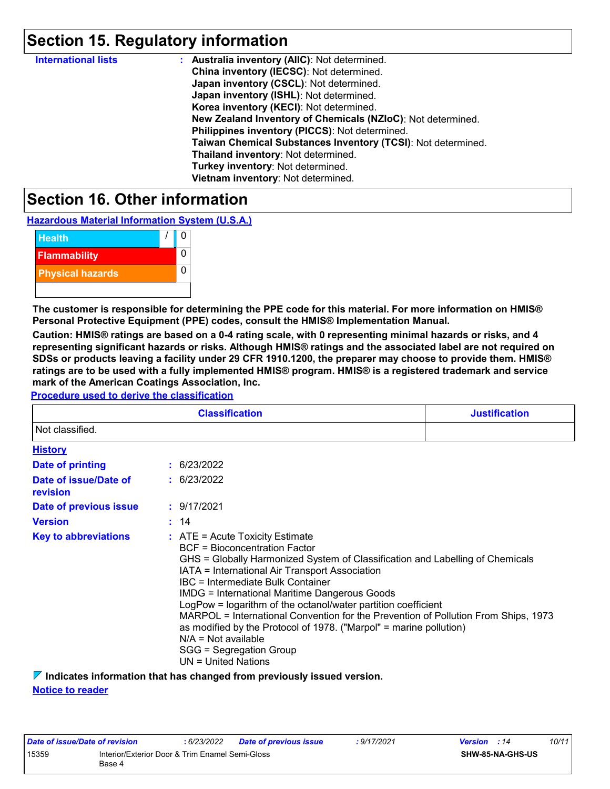### **Section 15. Regulatory information**

| <b>International lists</b> | : Australia inventory (AIIC): Not determined.                |
|----------------------------|--------------------------------------------------------------|
|                            | China inventory (IECSC): Not determined.                     |
|                            | Japan inventory (CSCL): Not determined.                      |
|                            | Japan inventory (ISHL): Not determined.                      |
|                            | Korea inventory (KECI): Not determined.                      |
|                            | New Zealand Inventory of Chemicals (NZIoC): Not determined.  |
|                            | Philippines inventory (PICCS): Not determined.               |
|                            | Taiwan Chemical Substances Inventory (TCSI): Not determined. |
|                            | Thailand inventory: Not determined.                          |
|                            | Turkey inventory: Not determined.                            |
|                            | Vietnam inventory: Not determined.                           |

### **Section 16. Other information**

**Hazardous Material Information System (U.S.A.)**



**The customer is responsible for determining the PPE code for this material. For more information on HMIS® Personal Protective Equipment (PPE) codes, consult the HMIS® Implementation Manual.**

**Caution: HMIS® ratings are based on a 0-4 rating scale, with 0 representing minimal hazards or risks, and 4 representing significant hazards or risks. Although HMIS® ratings and the associated label are not required on SDSs or products leaving a facility under 29 CFR 1910.1200, the preparer may choose to provide them. HMIS® ratings are to be used with a fully implemented HMIS® program. HMIS® is a registered trademark and service mark of the American Coatings Association, Inc.**

#### **Procedure used to derive the classification**

|                                   | <b>Classification</b>                                                                                                                                                                                                                                                                                                                                                                                                                                                                                                                                                                                                        | <b>Justification</b> |
|-----------------------------------|------------------------------------------------------------------------------------------------------------------------------------------------------------------------------------------------------------------------------------------------------------------------------------------------------------------------------------------------------------------------------------------------------------------------------------------------------------------------------------------------------------------------------------------------------------------------------------------------------------------------------|----------------------|
| Not classified.                   |                                                                                                                                                                                                                                                                                                                                                                                                                                                                                                                                                                                                                              |                      |
| <b>History</b>                    |                                                                                                                                                                                                                                                                                                                                                                                                                                                                                                                                                                                                                              |                      |
| Date of printing                  | : 6/23/2022                                                                                                                                                                                                                                                                                                                                                                                                                                                                                                                                                                                                                  |                      |
| Date of issue/Date of<br>revision | : 6/23/2022                                                                                                                                                                                                                                                                                                                                                                                                                                                                                                                                                                                                                  |                      |
| Date of previous issue            | : 9/17/2021                                                                                                                                                                                                                                                                                                                                                                                                                                                                                                                                                                                                                  |                      |
| <b>Version</b>                    | : 14                                                                                                                                                                                                                                                                                                                                                                                                                                                                                                                                                                                                                         |                      |
| <b>Key to abbreviations</b>       | $\therefore$ ATE = Acute Toxicity Estimate<br><b>BCF</b> = Bioconcentration Factor<br>GHS = Globally Harmonized System of Classification and Labelling of Chemicals<br>IATA = International Air Transport Association<br>IBC = Intermediate Bulk Container<br><b>IMDG = International Maritime Dangerous Goods</b><br>LogPow = logarithm of the octanol/water partition coefficient<br>MARPOL = International Convention for the Prevention of Pollution From Ships, 1973<br>as modified by the Protocol of 1978. ("Marpol" = marine pollution)<br>$N/A = Not available$<br>SGG = Segregation Group<br>$UN = United Nations$ |                      |

**Indicates information that has changed from previously issued version.**

**Notice to reader**

| Date of issue/Date of revision |                                                           | : 6/23/2022 | Date of previous issue | : 9/17/2021 | <b>Version</b> : 14 |                         | 10/11 |
|--------------------------------|-----------------------------------------------------------|-------------|------------------------|-------------|---------------------|-------------------------|-------|
| 15359                          | Interior/Exterior Door & Trim Enamel Semi-Gloss<br>Base 4 |             |                        |             |                     | <b>SHW-85-NA-GHS-US</b> |       |